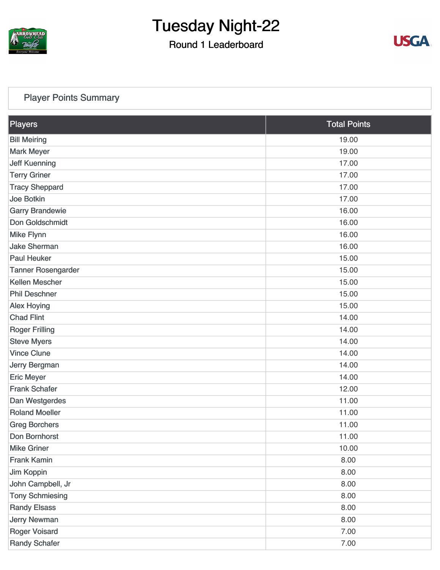

### Round 1 Leaderboard



#### [Player Points Summary](https://cdn2.golfgenius.com/v2tournaments/total_points?league_id=8105993687684621485&round_id=8105995515428087005)

| Players                   | <b>Total Points</b> |
|---------------------------|---------------------|
| <b>Bill Meiring</b>       | 19.00               |
| <b>Mark Meyer</b>         | 19.00               |
| <b>Jeff Kuenning</b>      | 17.00               |
| <b>Terry Griner</b>       | 17.00               |
| <b>Tracy Sheppard</b>     | 17.00               |
| Joe Botkin                | 17.00               |
| <b>Garry Brandewie</b>    | 16.00               |
| Don Goldschmidt           | 16.00               |
| <b>Mike Flynn</b>         | 16.00               |
| <b>Jake Sherman</b>       | 16.00               |
| <b>Paul Heuker</b>        | 15.00               |
| <b>Tanner Rosengarder</b> | 15.00               |
| <b>Kellen Mescher</b>     | 15.00               |
| <b>Phil Deschner</b>      | 15.00               |
| <b>Alex Hoying</b>        | 15.00               |
| <b>Chad Flint</b>         | 14.00               |
| <b>Roger Frilling</b>     | 14.00               |
| <b>Steve Myers</b>        | 14.00               |
| <b>Vince Clune</b>        | 14.00               |
| Jerry Bergman             | 14.00               |
| <b>Eric Meyer</b>         | 14.00               |
| <b>Frank Schafer</b>      | 12.00               |
| Dan Westgerdes            | 11.00               |
| <b>Roland Moeller</b>     | 11.00               |
| <b>Greg Borchers</b>      | 11.00               |
| Don Bornhorst             | 11.00               |
| <b>Mike Griner</b>        | 10.00               |
| <b>Frank Kamin</b>        | 8.00                |
| Jim Koppin                | 8.00                |
| John Campbell, Jr         | 8.00                |
| <b>Tony Schmiesing</b>    | 8.00                |
| <b>Randy Elsass</b>       | 8.00                |
| <b>Jerry Newman</b>       | 8.00                |
| <b>Roger Voisard</b>      | 7.00                |
| <b>Randy Schafer</b>      | 7.00                |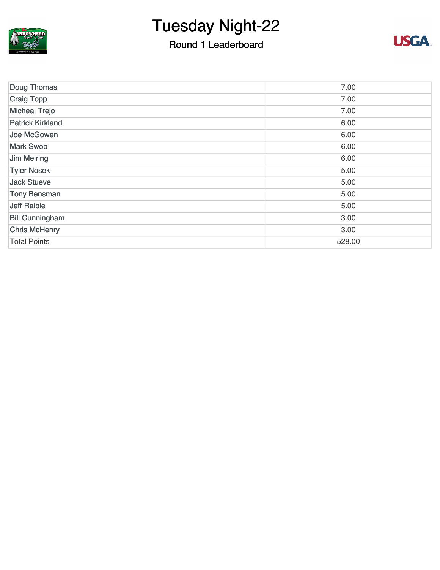

## Round 1 Leaderboard



| Doug Thomas             | 7.00   |
|-------------------------|--------|
| <b>Craig Topp</b>       | 7.00   |
| <b>Micheal Trejo</b>    | 7.00   |
| <b>Patrick Kirkland</b> | 6.00   |
| Joe McGowen             | 6.00   |
| <b>Mark Swob</b>        | 6.00   |
| <b>Jim Meiring</b>      | 6.00   |
| <b>Tyler Nosek</b>      | 5.00   |
| <b>Jack Stueve</b>      | 5.00   |
| <b>Tony Bensman</b>     | 5.00   |
| <b>Jeff Raible</b>      | 5.00   |
| <b>Bill Cunningham</b>  | 3.00   |
| <b>Chris McHenry</b>    | 3.00   |
| <b>Total Points</b>     | 528.00 |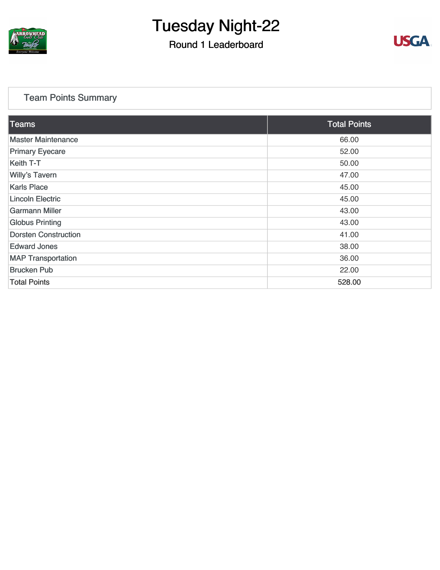

### Round 1 Leaderboard



#### [Team Points Summary](https://cdn2.golfgenius.com/v2tournaments/team_points?league_id=8105993687684621485&round_id=8105995515428087005)

| Teams                       | <b>Total Points</b> |
|-----------------------------|---------------------|
| <b>Master Maintenance</b>   | 66.00               |
| <b>Primary Eyecare</b>      | 52.00               |
| <b>Keith T-T</b>            | 50.00               |
| <b>Willy's Tavern</b>       | 47.00               |
| <b>Karls Place</b>          | 45.00               |
| <b>Lincoln Electric</b>     | 45.00               |
| <b>Garmann Miller</b>       | 43.00               |
| <b>Globus Printing</b>      | 43.00               |
| <b>Dorsten Construction</b> | 41.00               |
| <b>Edward Jones</b>         | 38.00               |
| <b>MAP Transportation</b>   | 36.00               |
| <b>Brucken Pub</b>          | 22.00               |
| <b>Total Points</b>         | 528.00              |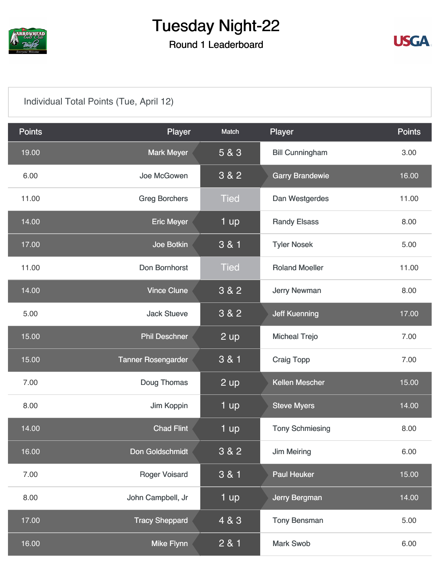

## Round 1 Leaderboard



#### [Individual Total Points \(Tue, April 12\)](https://cdn2.golfgenius.com/v2tournaments/8105996007101179058?called_from=&round_index=1)

| <b>Points</b> | Player                    | Match       | Player                 | <b>Points</b> |
|---------------|---------------------------|-------------|------------------------|---------------|
| 19.00         | <b>Mark Meyer</b>         | 5 & 3       | <b>Bill Cunningham</b> | 3.00          |
| 6.00          | Joe McGowen               | 3 & 2       | <b>Garry Brandewie</b> | 16.00         |
| 11.00         | <b>Greg Borchers</b>      | <b>Tied</b> | Dan Westgerdes         | 11.00         |
| 14.00         | <b>Eric Meyer</b>         | 1 up        | <b>Randy Elsass</b>    | 8.00          |
| 17.00         | Joe Botkin                | 3 & 1       | <b>Tyler Nosek</b>     | 5.00          |
| 11.00         | Don Bornhorst             | <b>Tied</b> | <b>Roland Moeller</b>  | 11.00         |
| 14.00         | <b>Vince Clune</b>        | 3 & 2       | <b>Jerry Newman</b>    | 8.00          |
| 5.00          | <b>Jack Stueve</b>        | 3 & 2       | <b>Jeff Kuenning</b>   | 17.00         |
| 15.00         | <b>Phil Deschner</b>      | $2$ up      | <b>Micheal Trejo</b>   | 7.00          |
| 15.00         | <b>Tanner Rosengarder</b> | 3 & 1       | <b>Craig Topp</b>      | 7.00          |
| 7.00          | Doug Thomas               | 2 up        | <b>Kellen Mescher</b>  | 15.00         |
| 8.00          | Jim Koppin                | 1 up        | <b>Steve Myers</b>     | 14.00         |
| 14.00         | <b>Chad Flint</b>         | 1 up        | <b>Tony Schmiesing</b> | 8.00          |
| 16.00         | Don Goldschmidt           | 3 & 2       | <b>Jim Meiring</b>     | 6.00          |
| 7.00          | <b>Roger Voisard</b>      | 3 & 1       | <b>Paul Heuker</b>     | 15.00         |
| 8.00          | John Campbell, Jr         | 1 up        | Jerry Bergman          | 14.00         |
| 17.00         | <b>Tracy Sheppard</b>     | 4 & 3       | <b>Tony Bensman</b>    | 5.00          |
| 16.00         | <b>Mike Flynn</b>         | 2 & 1       | <b>Mark Swob</b>       | 6.00          |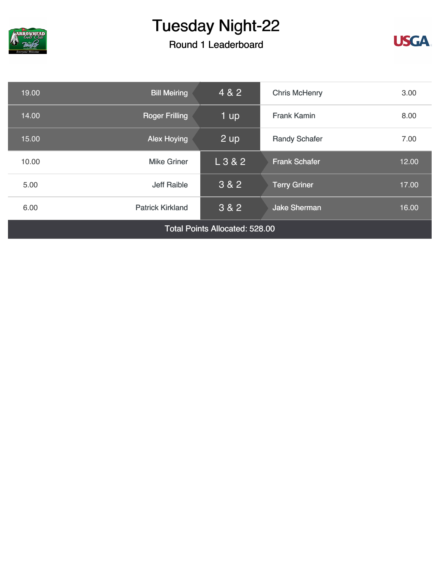

## Round 1 Leaderboard



| 19.00                                 | <b>Bill Meiring</b>     | 4 & 2   | <b>Chris McHenry</b> | 3.00  |
|---------------------------------------|-------------------------|---------|----------------------|-------|
| 14.00                                 | <b>Roger Frilling</b>   | 1 up    | <b>Frank Kamin</b>   | 8.00  |
| 15.00                                 | <b>Alex Hoying</b>      | 2 up    | <b>Randy Schafer</b> | 7.00  |
| 10.00                                 | <b>Mike Griner</b>      | L 3 & 2 | <b>Frank Schafer</b> | 12.00 |
| 5.00                                  | <b>Jeff Raible</b>      | 3 & 2   | <b>Terry Griner</b>  | 17.00 |
| 6.00                                  | <b>Patrick Kirkland</b> | 3 & 2   | <b>Jake Sherman</b>  | 16.00 |
| <b>Total Points Allocated: 528.00</b> |                         |         |                      |       |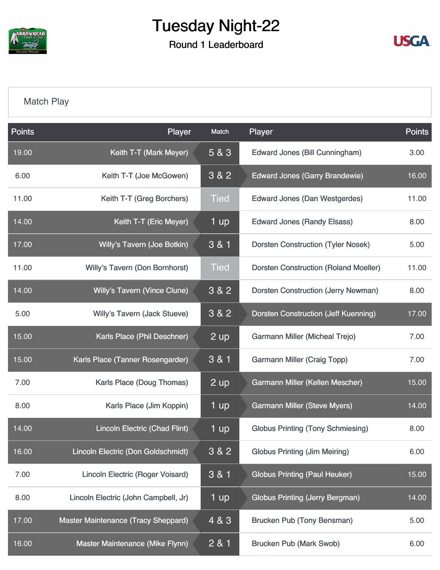

Round 1 Leaderboard



#### [Match Play](https://cdn2.golfgenius.com/v2tournaments/8106055578029139173?called_from=&round_index=1)

| <b>Points</b> | Player                                  | Match       | Player                                       | <b>Points</b> |
|---------------|-----------------------------------------|-------------|----------------------------------------------|---------------|
| 19.00         | Keith T-T (Mark Meyer)                  | 5 & 3       | Edward Jones (Bill Cunningham)               | 3.00          |
| 6.00          | Keith T-T (Joe McGowen)                 | 3 & 2       | <b>Edward Jones (Garry Brandewie)</b>        | 16.00         |
| 11.00         | Keith T-T (Greg Borchers)               | <b>Tied</b> | <b>Edward Jones (Dan Westgerdes)</b>         | 11.00         |
| 14.00         | Keith T-T (Eric Meyer)                  | 1 up        | <b>Edward Jones (Randy Elsass)</b>           | 8.00          |
| 17.00         | Willy's Tavern (Joe Botkin)             | 3 & 1       | <b>Dorsten Construction (Tyler Nosek)</b>    | 5.00          |
| 11.00         | <b>Willy's Tavern (Don Bornhorst)</b>   | <b>Tied</b> | <b>Dorsten Construction (Roland Moeller)</b> | 11.00         |
| 14.00         | <b>Willy's Tavern (Vince Clune)</b>     | 3 & 2       | <b>Dorsten Construction (Jerry Newman)</b>   | 8.00          |
| 5.00          | Willy's Tavern (Jack Stueve)            | 3 & 2       | <b>Dorsten Construction (Jeff Kuenning)</b>  | 17.00         |
| 15.00         | Karls Place (Phil Deschner)             | 2 up        | Garmann Miller (Micheal Trejo)               | 7.00          |
| 15.00         | Karls Place (Tanner Rosengarder)        | 3 & 1       | <b>Garmann Miller (Craig Topp)</b>           | 7.00          |
| 7.00          | Karls Place (Doug Thomas)               | $2$ up      | Garmann Miller (Kellen Mescher)              | 15.00         |
| 8.00          | Karls Place (Jim Koppin)                | 1 up        | <b>Garmann Miller (Steve Myers)</b>          | 14.00         |
| 14.00         | <b>Lincoln Electric (Chad Flint)</b>    | 1 up        | <b>Globus Printing (Tony Schmiesing)</b>     | 8.00          |
| 16.00         | Lincoln Electric (Don Goldschmidt)      | 3 & 2       | <b>Globus Printing (Jim Meiring)</b>         | 6.00          |
| 7.00          | <b>Lincoln Electric (Roger Voisard)</b> | 3 & 1       | <b>Globus Printing (Paul Heuker)</b>         | 15.00         |
| 8.00          | Lincoln Electric (John Campbell, Jr)    | 1 up        | <b>Globus Printing (Jerry Bergman)</b>       | 14.00         |
| 17.00         | Master Maintenance (Tracy Sheppard)     | 4 & 3       | <b>Brucken Pub (Tony Bensman)</b>            | 5.00          |
| 16.00         | Master Maintenance (Mike Flynn)         | 2 & 1       | <b>Brucken Pub (Mark Swob)</b>               | 6.00          |